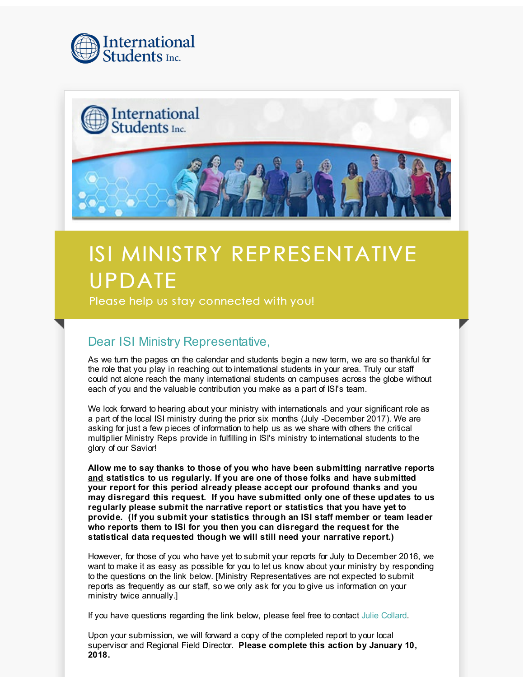



## ISI MINISTRY REPRESENTATIVE UPDATE

Please help us stay connected with you!

## Dear ISI Ministry Representative,

As we turn the pages on the calendar and students begin a new term, we are so thankful for the role that you play in reaching out to international students in your area. Truly our staff could not alone reach the many international students on campuses across the globe without each of you and the valuable contribution you make as a part of ISI's team.

We look forward to hearing about your ministry with internationals and your significant role as a part of the local ISI ministry during the prior six months (July -December 2017). We are asking for just a few pieces of information to help us as we share with others the critical multiplier Ministry Reps provide in fulfilling in ISI's ministry to international students to the glory of our Savior!

**Allow me to say thanks to those of you who have been submitting narrative reports and statistics to us regularly. If you are one of those folks and have submitted your report for this period already please accept our profound thanks and you may disregard this request. If you have submitted only one of these updates to us regularly please submit the narrative report or statistics that you have yet to provide. (If you submit your statistics through an ISI staff member or team leader who reports them to ISI for you then you can disregard the request for the statistical data requested though we will still need your narrative report.)**

However, for those of you who have yet to submit your reports for July to December 2016, we want to make it as easy as possible for you to let us know about your ministry by responding to the questions on the link below. [Ministry Representatives are not expected to submit reports as frequently as our staff, so we only ask for you to give us information on your ministry twice annually.]

If you have questions regarding the link below, please feel free to contact Julie [Collard](mailto:isifield@isionline.org).

Upon your submission, we will forward a copy of the completed report to your local supervisor and Regional Field Director. **Please complete this action by January 10, 2018.**